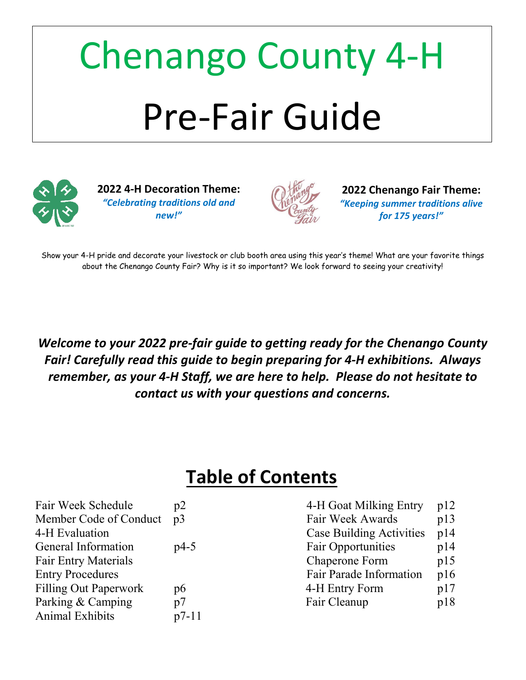# Chenango County 4-H Pre-Fair Guide



**2022 4-H Decoration Theme:** *"Celebrating traditions old and new!"*



**2022 Chenango Fair Theme:** *"Keeping summer traditions alive for 175 years!"*

Show your 4-H pride and decorate your livestock or club booth area using this year's theme! What are your favorite things about the Chenango County Fair? Why is it so important? We look forward to seeing your creativity!

*Welcome to your 2022 pre-fair guide to getting ready for the Chenango County Fair! Carefully read this guide to begin preparing for 4-H exhibitions. Always remember, as your 4-H Staff, we are here to help. Please do not hesitate to contact us with your questions and concerns.*

## **Table of Contents**

| Fair Week Schedule           | p2      | 4-H Goat Milking Entry          | p12 |
|------------------------------|---------|---------------------------------|-----|
| Member Code of Conduct       | p3      | Fair Week Awards                | p13 |
| 4-H Evaluation               |         | <b>Case Building Activities</b> | p14 |
| General Information          | $p4-5$  | <b>Fair Opportunities</b>       | p14 |
| <b>Fair Entry Materials</b>  |         | Chaperone Form                  | p15 |
| <b>Entry Procedures</b>      |         | Fair Parade Information         | p16 |
| <b>Filling Out Paperwork</b> | p6      | 4-H Entry Form                  | p17 |
| Parking & Camping            | p7      | Fair Cleanup                    | p18 |
| <b>Animal Exhibits</b>       | $p7-11$ |                                 |     |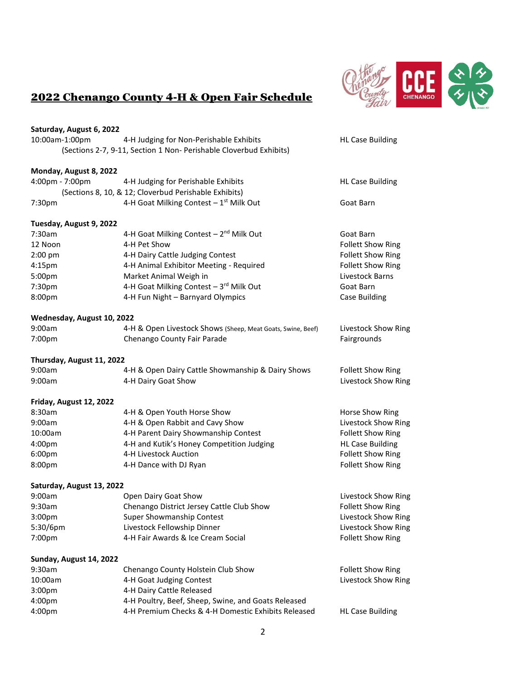

### 2022 Chenango County 4-H & Open Fair Schedule

| Saturday, August 6, 2022<br>10:00am-1:00pm | 4-H Judging for Non-Perishable Exhibits                            | <b>HL Case Building</b>    |
|--------------------------------------------|--------------------------------------------------------------------|----------------------------|
|                                            | (Sections 2-7, 9-11, Section 1 Non- Perishable Cloverbud Exhibits) |                            |
| Monday, August 8, 2022                     |                                                                    |                            |
| 4:00pm - 7:00pm                            | 4-H Judging for Perishable Exhibits                                | <b>HL Case Building</b>    |
|                                            | (Sections 8, 10, & 12; Cloverbud Perishable Exhibits)              |                            |
| 7:30pm                                     | 4-H Goat Milking Contest - 1st Milk Out                            | Goat Barn                  |
| Tuesday, August 9, 2022                    |                                                                    |                            |
| 7:30am                                     | 4-H Goat Milking Contest - 2 <sup>nd</sup> Milk Out                | Goat Barn                  |
| 12 Noon                                    | 4-H Pet Show                                                       | <b>Follett Show Ring</b>   |
| $2:00$ pm                                  | 4-H Dairy Cattle Judging Contest                                   | <b>Follett Show Ring</b>   |
| 4:15 <sub>pm</sub>                         | 4-H Animal Exhibitor Meeting - Required                            | <b>Follett Show Ring</b>   |
| 5:00pm                                     | Market Animal Weigh in                                             | Livestock Barns            |
| 7:30pm                                     | 4-H Goat Milking Contest - 3rd Milk Out                            | Goat Barn                  |
| 8:00pm                                     | 4-H Fun Night - Barnyard Olympics                                  | <b>Case Building</b>       |
| Wednesday, August 10, 2022                 |                                                                    |                            |
| 9:00am                                     | 4-H & Open Livestock Shows (Sheep, Meat Goats, Swine, Beef)        | Livestock Show Ring        |
| 7:00pm                                     | Chenango County Fair Parade                                        | Fairgrounds                |
| Thursday, August 11, 2022                  |                                                                    |                            |
| 9:00am                                     | 4-H & Open Dairy Cattle Showmanship & Dairy Shows                  | <b>Follett Show Ring</b>   |
| 9:00am                                     | 4-H Dairy Goat Show                                                | Livestock Show Ring        |
| Friday, August 12, 2022                    |                                                                    |                            |
| 8:30am                                     | 4-H & Open Youth Horse Show                                        | Horse Show Ring            |
| 9:00am                                     | 4-H & Open Rabbit and Cavy Show                                    | Livestock Show Ring        |
| 10:00am                                    | 4-H Parent Dairy Showmanship Contest                               | <b>Follett Show Ring</b>   |
| 4:00pm                                     | 4-H and Kutik's Honey Competition Judging                          | <b>HL Case Building</b>    |
| 6:00pm                                     | 4-H Livestock Auction                                              | <b>Follett Show Ring</b>   |
| 8:00pm                                     | 4-H Dance with DJ Ryan                                             | <b>Follett Show Ring</b>   |
| Saturday, August 13, 2022                  |                                                                    |                            |
| 9:00am                                     | Open Dairy Goat Show                                               | <b>Livestock Show Ring</b> |
| 9:30am                                     | Chenango District Jersey Cattle Club Show                          | <b>Follett Show Ring</b>   |
| 3:00 <sub>pm</sub>                         | Super Showmanship Contest                                          | Livestock Show Ring        |
| 5:30/6pm                                   | Livestock Fellowship Dinner                                        | Livestock Show Ring        |
| 7:00pm                                     | 4-H Fair Awards & Ice Cream Social                                 | <b>Follett Show Ring</b>   |
| Sunday, August 14, 2022                    |                                                                    |                            |
| 9:30am                                     | Chenango County Holstein Club Show                                 | <b>Follett Show Ring</b>   |
| 10:00am                                    | 4-H Goat Judging Contest                                           | Livestock Show Ring        |
| 3:00pm                                     | 4-H Dairy Cattle Released                                          |                            |
| 4:00pm                                     | 4-H Poultry, Beef, Sheep, Swine, and Goats Released                |                            |
| 4:00pm                                     | 4-H Premium Checks & 4-H Domestic Exhibits Released                | <b>HL Case Building</b>    |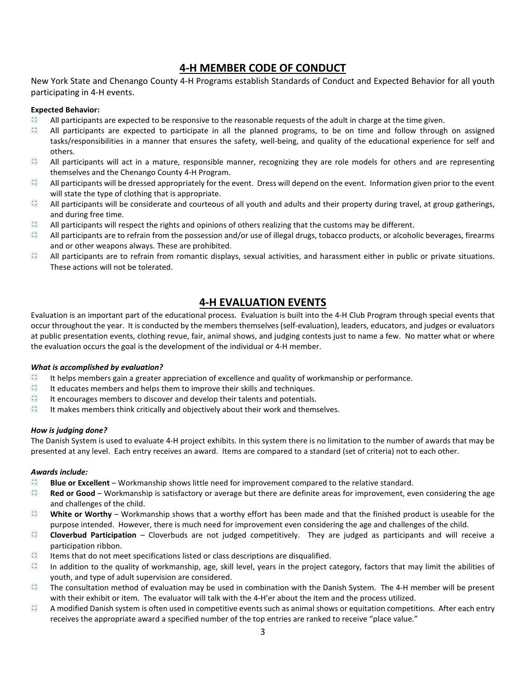#### **4-H MEMBER CODE OF CONDUCT**

New York State and Chenango County 4-H Programs establish Standards of Conduct and Expected Behavior for all youth participating in 4-H events.

#### **Expected Behavior:**

- $rac{1}{2}$ All participants are expected to be responsive to the reasonable requests of the adult in charge at the time given.
- $rac{4}{3}$ All participants are expected to participate in all the planned programs, to be on time and follow through on assigned tasks/responsibilities in a manner that ensures the safety, well-being, and quality of the educational experience for self and others.
- $rac{4}{3}$ All participants will act in a mature, responsible manner, recognizing they are role models for others and are representing themselves and the Chenango County 4-H Program.
- $rac{4}{3}$ All participants will be dressed appropriately for the event. Dress will depend on the event. Information given prior to the event will state the type of clothing that is appropriate.
- $rac{4}{3}$ All participants will be considerate and courteous of all youth and adults and their property during travel, at group gatherings, and during free time.
- $\frac{1}{2}$ All participants will respect the rights and opinions of others realizing that the customs may be different.
- $\frac{1}{2}$ All participants are to refrain from the possession and/or use of illegal drugs, tobacco products, or alcoholic beverages, firearms and or other weapons always. These are prohibited.
- $rac{4}{3}$ All participants are to refrain from romantic displays, sexual activities, and harassment either in public or private situations. These actions will not be tolerated.

#### **4-H EVALUATION EVENTS**

Evaluation is an important part of the educational process. Evaluation is built into the 4-H Club Program through special events that occur throughout the year. It is conducted by the members themselves (self-evaluation), leaders, educators, and judges or evaluators at public presentation events, clothing revue, fair, animal shows, and judging contests just to name a few. No matter what or where the evaluation occurs the goal is the development of the individual or 4-H member.

#### *What is accomplished by evaluation?*

- نو انو )<br>نو انو It helps members gain a greater appreciation of excellence and quality of workmanship or performance.
- دي دي.<br>دي It educates members and helps them to improve their skills and techniques.
- نو اینې<br>خوانو It encourages members to discover and develop their talents and potentials.
- $\frac{1}{2}$ It makes members think critically and objectively about their work and themselves.

#### *How is judging done?*

The Danish System is used to evaluate 4-H project exhibits. In this system there is no limitation to the number of awards that may be presented at any level. Each entry receives an award. Items are compared to a standard (set of criteria) not to each other.

#### *Awards include:*

- $rac{4}{3}$ **Blue or Excellent** – Workmanship shows little need for improvement compared to the relative standard.
- $rac{4}{3}$ **Red or Good** – Workmanship is satisfactory or average but there are definite areas for improvement, even considering the age and challenges of the child.
- دي دي.<br>جو اچي **White or Worthy** – Workmanship shows that a worthy effort has been made and that the finished product is useable for the purpose intended. However, there is much need for improvement even considering the age and challenges of the child.
- $\frac{1}{2}$ **Cloverbud Participation** – Cloverbuds are not judged competitively. They are judged as participants and will receive a participation ribbon.
- $\frac{6}{x}$ Items that do not meet specifications listed or class descriptions are disqualified.
- نو انو<br>نو انو In addition to the quality of workmanship, age, skill level, years in the project category, factors that may limit the abilities of youth, and type of adult supervision are considered.
- $rac{1}{2}$ The consultation method of evaluation may be used in combination with the Danish System. The 4-H member will be present with their exhibit or item. The evaluator will talk with the 4-H'er about the item and the process utilized.
- په A modified Danish system is often used in competitive events such as animal shows or equitation competitions. After each entry receives the appropriate award a specified number of the top entries are ranked to receive "place value."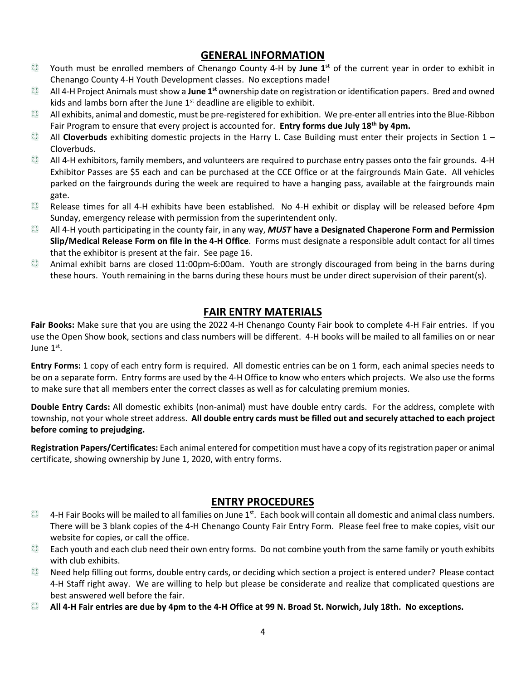#### **GENERAL INFORMATION**

- Youth must be enrolled members of Chenango County 4-H by June 1<sup>st</sup> of the current year in order to exhibit in  $rac{4}{3}$ Chenango County 4-H Youth Development classes. No exceptions made!
- $rac{4}{3}$ All 4-H Project Animals must show a **June 1st** ownership date on registration or identification papers. Bred and owned kids and lambs born after the June  $1<sup>st</sup>$  deadline are eligible to exhibit.
- $rac{4}{3}$ All exhibits, animal and domestic, must be pre-registered for exhibition. We pre-enter all entries into the Blue-Ribbon Fair Program to ensure that every project is accounted for. **Entry forms due July 18th by 4pm.**
- $rac{4}{3}$ All **Cloverbuds** exhibiting domestic projects in the Harry L. Case Building must enter their projects in Section 1 – Cloverbuds.
- $rac{4}{3}$ All 4-H exhibitors, family members, and volunteers are required to purchase entry passes onto the fair grounds. 4-H Exhibitor Passes are \$5 each and can be purchased at the CCE Office or at the fairgrounds Main Gate. All vehicles parked on the fairgrounds during the week are required to have a hanging pass, available at the fairgrounds main gate.
- $rac{4}{3}$ Release times for all 4-H exhibits have been established. No 4-H exhibit or display will be released before 4pm Sunday, emergency release with permission from the superintendent only.
- $rac{4}{3}$ All 4-H youth participating in the county fair, in any way, *MUST* **have a Designated Chaperone Form and Permission Slip/Medical Release Form on file in the 4-H Office**. Forms must designate a responsible adult contact for all times that the exhibitor is present at the fair. See page 16.
- $rac{4}{3}$ Animal exhibit barns are closed 11:00pm-6:00am. Youth are strongly discouraged from being in the barns during these hours. Youth remaining in the barns during these hours must be under direct supervision of their parent(s).

#### **FAIR ENTRY MATERIALS**

**Fair Books:** Make sure that you are using the 2022 4-H Chenango County Fair book to complete 4-H Fair entries. If you use the Open Show book, sections and class numbers will be different. 4-H books will be mailed to all families on or near June  $1<sup>st</sup>$ .

**Entry Forms:** 1 copy of each entry form is required. All domestic entries can be on 1 form, each animal species needs to be on a separate form. Entry forms are used by the 4-H Office to know who enters which projects. We also use the forms to make sure that all members enter the correct classes as well as for calculating premium monies.

**Double Entry Cards:** All domestic exhibits (non-animal) must have double entry cards. For the address, complete with township, not your whole street address. **All double entry cards must be filled out and securely attached to each project before coming to prejudging.**

**Registration Papers/Certificates:** Each animal entered for competition must have a copy of its registration paper or animal certificate, showing ownership by June 1, 2020, with entry forms.

#### **ENTRY PROCEDURES**

- $rac{4}{3}$ 4-H Fair Books will be mailed to all families on June  $1<sup>st</sup>$ . Each book will contain all domestic and animal class numbers. There will be 3 blank copies of the 4-H Chenango County Fair Entry Form. Please feel free to make copies, visit our website for copies, or call the office.
- $rac{4}{3}$ Each youth and each club need their own entry forms. Do not combine youth from the same family or youth exhibits with club exhibits.
- $rac{4}{3}$ Need help filling out forms, double entry cards, or deciding which section a project is entered under? Please contact 4-H Staff right away. We are willing to help but please be considerate and realize that complicated questions are best answered well before the fair.
- **All 4-H Fair entries are due by 4pm to the 4-H Office at 99 N. Broad St. Norwich, July 18th. No exceptions.**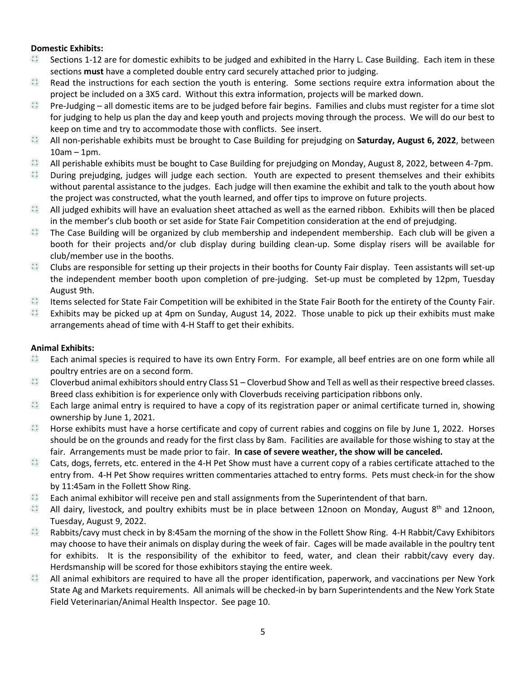#### **Domestic Exhibits:**

- $rac{4}{3}$ Sections 1-12 are for domestic exhibits to be judged and exhibited in the Harry L. Case Building. Each item in these sections **must** have a completed double entry card securely attached prior to judging.
- Read the instructions for each section the youth is entering. Some sections require extra information about the  $rac{8}{3}$ project be included on a 3X5 card. Without this extra information, projects will be marked down.
- $rac{8}{3}$ Pre-Judging – all domestic items are to be judged before fair begins. Families and clubs must register for a time slot for judging to help us plan the day and keep youth and projects moving through the process. We will do our best to keep on time and try to accommodate those with conflicts. See insert.
- $rac{4}{3}$ All non-perishable exhibits must be brought to Case Building for prejudging on **Saturday, August 6, 2022**, between 10am – 1pm.
- انوا بها<br>تو انو All perishable exhibits must be bought to Case Building for prejudging on Monday, August 8, 2022, between 4-7pm.
- $rac{4}{3}$ During prejudging, judges will judge each section. Youth are expected to present themselves and their exhibits without parental assistance to the judges. Each judge will then examine the exhibit and talk to the youth about how the project was constructed, what the youth learned, and offer tips to improve on future projects.
- $rac{8}{3}$ All judged exhibits will have an evaluation sheet attached as well as the earned ribbon. Exhibits will then be placed in the member's club booth or set aside for State Fair Competition consideration at the end of prejudging.
- $rac{4}{3}$ The Case Building will be organized by club membership and independent membership. Each club will be given a booth for their projects and/or club display during building clean-up. Some display risers will be available for club/member use in the booths.
- $rac{1}{2}$ Clubs are responsible for setting up their projects in their booths for County Fair display. Teen assistants will set-up the independent member booth upon completion of pre-judging. Set-up must be completed by 12pm, Tuesday August 9th.
- $rac{4}{3}$ Items selected for State Fair Competition will be exhibited in the State Fair Booth for the entirety of the County Fair.
- $rac{4}{3}$ Exhibits may be picked up at 4pm on Sunday, August 14, 2022. Those unable to pick up their exhibits must make arrangements ahead of time with 4-H Staff to get their exhibits.

#### **Animal Exhibits:**

- $rac{8}{3}$ Each animal species is required to have its own Entry Form. For example, all beef entries are on one form while all poultry entries are on a second form.
- $rac{8}{3}$ Cloverbud animal exhibitors should entry Class S1 – Cloverbud Show and Tell as well as their respective breed classes. Breed class exhibition is for experience only with Cloverbuds receiving participation ribbons only.
- دي دي.<br>دي Each large animal entry is required to have a copy of its registration paper or animal certificate turned in, showing ownership by June 1, 2021.
- $rac{4}{3}$ Horse exhibits must have a horse certificate and copy of current rabies and coggins on file by June 1, 2022. Horses should be on the grounds and ready for the first class by 8am. Facilities are available for those wishing to stay at the fair. Arrangements must be made prior to fair. **In case of severe weather, the show will be canceled.**
- $rac{4}{3}$ Cats, dogs, ferrets, etc. entered in the 4-H Pet Show must have a current copy of a rabies certificate attached to the entry from. 4-H Pet Show requires written commentaries attached to entry forms. Pets must check-in for the show by 11:45am in the Follett Show Ring.
- $rac{4}{3}$ Each animal exhibitor will receive pen and stall assignments from the Superintendent of that barn.
- دي دي.<br>دي All dairy, livestock, and poultry exhibits must be in place between 12noon on Monday, August  $8<sup>th</sup>$  and 12noon, Tuesday, August 9, 2022.
- $rac{4}{3}$ Rabbits/cavy must check in by 8:45am the morning of the show in the Follett Show Ring. 4-H Rabbit/Cavy Exhibitors may choose to have their animals on display during the week of fair. Cages will be made available in the poultry tent for exhibits. It is the responsibility of the exhibitor to feed, water, and clean their rabbit/cavy every day. Herdsmanship will be scored for those exhibitors staying the entire week.
- $rac{8}{3}$ All animal exhibitors are required to have all the proper identification, paperwork, and vaccinations per New York State Ag and Markets requirements. All animals will be checked-in by barn Superintendents and the New York State Field Veterinarian/Animal Health Inspector. See page 10.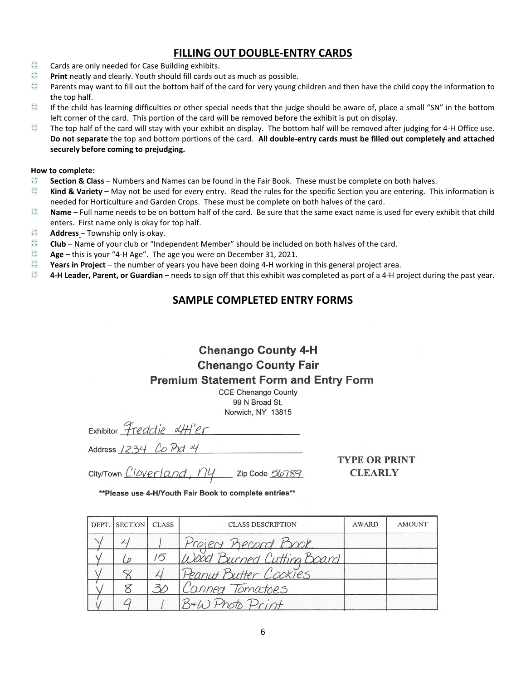#### **FILLING OUT DOUBLE-ENTRY CARDS**

- $\frac{1}{2}$ Cards are only needed for Case Building exhibits.
- $\frac{1}{2}$ **Print** neatly and clearly. Youth should fill cards out as much as possible.
- دي دي.<br>دي Parents may want to fill out the bottom half of the card for very young children and then have the child copy the information to the top half.
- $rac{4}{3}$ If the child has learning difficulties or other special needs that the judge should be aware of, place a small "SN" in the bottom left corner of the card. This portion of the card will be removed before the exhibit is put on display.
- $rac{4}{3}$ The top half of the card will stay with your exhibit on display. The bottom half will be removed after judging for 4-H Office use. **Do not separate** the top and bottom portions of the card. **All double-entry cards must be filled out completely and attached securely before coming to prejudging.**

#### **How to complete:**

- دي الحيا<br>المجم **Section & Class** – Numbers and Names can be found in the Fair Book. These must be complete on both halves.
- $\frac{1}{2}$ **Kind & Variety** – May not be used for every entry. Read the rules for the specific Section you are entering. This information is needed for Horticulture and Garden Crops. These must be complete on both halves of the card.
- نو انو )<br>نو انو ) **Name** – Full name needs to be on bottom half of the card. Be sure that the same exact name is used for every exhibit that child enters. First name only is okay for top half.
- دي دي.<br>دي **Address** – Township only is okay.
- $\frac{1}{2}$ **Club** – Name of your club or "Independent Member" should be included on both halves of the card.
- نو انو )<br>پوه **Age** – this is your "4-H Age". The age you were on December 31, 2021.
- نو انها<br>نوانها **Years in Project** – the number of years you have been doing 4-H working in this general project area.
- $rac{4}{3}$ **4-H Leader, Parent, or Guardian** – needs to sign off that this exhibit was completed as part of a 4-H project during the past year.

#### **SAMPLE COMPLETED ENTRY FORMS**

#### **Chenango County 4-H Chenango County Fair Premium Statement Form and Entry Form**

**CCE Chenango County** 99 N Broad St. Norwich, NY 13815

 $Exhibitor$  Freddie  $4H'er$ 

Address  $1234$  Co Prot  $4$ 

**TYPE OR PRINT CLEARLY** 

City/Town *Cloverland*, ny zip Code 56789

| DEPT. SECTION | <b>CLASS</b> | <b>CLASS DESCRIPTION</b>  | AWARD | <b>AMOUNT</b> |
|---------------|--------------|---------------------------|-------|---------------|
|               |              | Project Record Book       |       |               |
|               | 15           | Wood Burned Cutting Board |       |               |
|               |              | Peanut Butter Cookies     |       |               |
|               |              | Cannea Tomatoes           |       |               |
|               |              | B+W Photo Print           |       |               |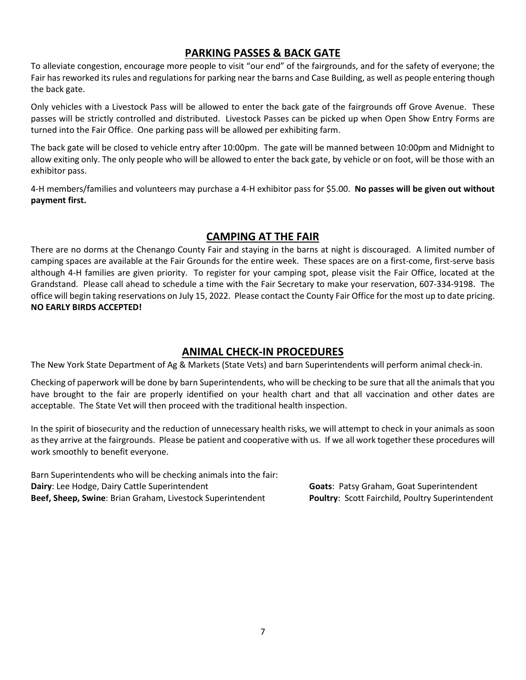#### **PARKING PASSES & BACK GATE**

To alleviate congestion, encourage more people to visit "our end" of the fairgrounds, and for the safety of everyone; the Fair has reworked its rules and regulations for parking near the barns and Case Building, as well as people entering though the back gate.

Only vehicles with a Livestock Pass will be allowed to enter the back gate of the fairgrounds off Grove Avenue. These passes will be strictly controlled and distributed. Livestock Passes can be picked up when Open Show Entry Forms are turned into the Fair Office. One parking pass will be allowed per exhibiting farm.

The back gate will be closed to vehicle entry after 10:00pm. The gate will be manned between 10:00pm and Midnight to allow exiting only. The only people who will be allowed to enter the back gate, by vehicle or on foot, will be those with an exhibitor pass.

4-H members/families and volunteers may purchase a 4-H exhibitor pass for \$5.00. **No passes will be given out without payment first.**

#### **CAMPING AT THE FAIR**

There are no dorms at the Chenango County Fair and staying in the barns at night is discouraged. A limited number of camping spaces are available at the Fair Grounds for the entire week. These spaces are on a first-come, first-serve basis although 4-H families are given priority. To register for your camping spot, please visit the Fair Office, located at the Grandstand. Please call ahead to schedule a time with the Fair Secretary to make your reservation, 607-334-9198. The office will begin taking reservations on July 15, 2022. Please contact the County Fair Office for the most up to date pricing. **NO EARLY BIRDS ACCEPTED!**

#### **ANIMAL CHECK-IN PROCEDURES**

The New York State Department of Ag & Markets (State Vets) and barn Superintendents will perform animal check-in.

Checking of paperwork will be done by barn Superintendents, who will be checking to be sure that all the animals that you have brought to the fair are properly identified on your health chart and that all vaccination and other dates are acceptable. The State Vet will then proceed with the traditional health inspection.

In the spirit of biosecurity and the reduction of unnecessary health risks, we will attempt to check in your animals as soon as they arrive at the fairgrounds. Please be patient and cooperative with us. If we all work together these procedures will work smoothly to benefit everyone.

Barn Superintendents who will be checking animals into the fair: **Dairy**: Lee Hodge, Dairy Cattle Superintendent **Goats**: Patsy Graham, Goat Superintendent **Beef, Sheep, Swine**: Brian Graham, Livestock Superintendent **Poultry**: Scott Fairchild, Poultry Superintendent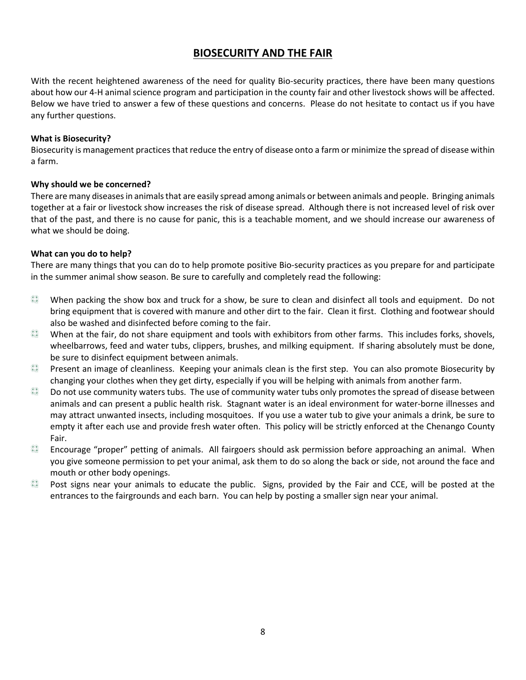#### **BIOSECURITY AND THE FAIR**

With the recent heightened awareness of the need for quality Bio-security practices, there have been many questions about how our 4-H animal science program and participation in the county fair and other livestock shows will be affected. Below we have tried to answer a few of these questions and concerns. Please do not hesitate to contact us if you have any further questions.

#### **What is Biosecurity?**

Biosecurity is management practices that reduce the entry of disease onto a farm or minimize the spread of disease within a farm.

#### **Why should we be concerned?**

There are many diseases in animals that are easily spread among animals or between animals and people. Bringing animals together at a fair or livestock show increases the risk of disease spread. Although there is not increased level of risk over that of the past, and there is no cause for panic, this is a teachable moment, and we should increase our awareness of what we should be doing.

#### **What can you do to help?**

There are many things that you can do to help promote positive Bio-security practices as you prepare for and participate in the summer animal show season. Be sure to carefully and completely read the following:

- $rac{4}{3}$ When packing the show box and truck for a show, be sure to clean and disinfect all tools and equipment. Do not bring equipment that is covered with manure and other dirt to the fair. Clean it first. Clothing and footwear should also be washed and disinfected before coming to the fair.
- $rac{8}{3}$ When at the fair, do not share equipment and tools with exhibitors from other farms. This includes forks, shovels, wheelbarrows, feed and water tubs, clippers, brushes, and milking equipment. If sharing absolutely must be done, be sure to disinfect equipment between animals.
- $rac{4}{3}$ Present an image of cleanliness. Keeping your animals clean is the first step. You can also promote Biosecurity by changing your clothes when they get dirty, especially if you will be helping with animals from another farm.
- $rac{4}{3}$ Do not use community waters tubs. The use of community water tubs only promotes the spread of disease between animals and can present a public health risk. Stagnant water is an ideal environment for water-borne illnesses and may attract unwanted insects, including mosquitoes. If you use a water tub to give your animals a drink, be sure to empty it after each use and provide fresh water often. This policy will be strictly enforced at the Chenango County Fair.
- $rac{4}{x}$ Encourage "proper" petting of animals. All fairgoers should ask permission before approaching an animal. When you give someone permission to pet your animal, ask them to do so along the back or side, not around the face and mouth or other body openings.
- $rac{4}{3}$ Post signs near your animals to educate the public. Signs, provided by the Fair and CCE, will be posted at the entrances to the fairgrounds and each barn. You can help by posting a smaller sign near your animal.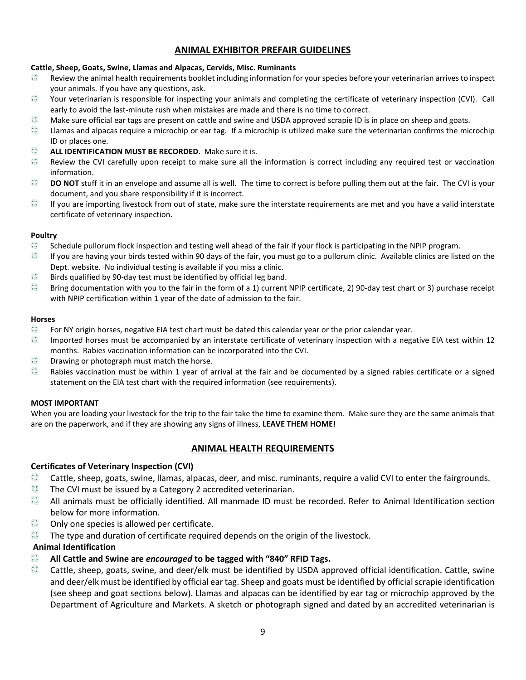#### **ANIMAL EXHIBITOR PREFAIR GUIDELINES**

#### **Cattle, Sheep, Goats, Swine, Llamas and Alpacas, Cervids, Misc. Ruminants**

- $rac{4}{3}$ Review the animal health requirements booklet including information for your species before your veterinarian arrives to inspect your animals. If you have any questions, ask.
- نو انو )<br>نو انو ) Your veterinarian is responsible for inspecting your animals and completing the certificate of veterinary inspection (CVI). Call early to avoid the last-minute rush when mistakes are made and there is no time to correct.
- $\begin{array}{c} \frac{1}{2} & \frac{1}{2} \\ \frac{1}{2} & \frac{1}{2} \end{array}$ Make sure official ear tags are present on cattle and swine and USDA approved scrapie ID is in place on sheep and goats.
- $\frac{1}{2}$ Llamas and alpacas require a microchip or ear tag. If a microchip is utilized make sure the veterinarian confirms the microchip ID or places one.
- دي دي.<br>جو اچي **ALL IDENTIFICATION MUST BE RECORDED.** Make sure it is.
- $rac{4}{3}$ Review the CVI carefully upon receipt to make sure all the information is correct including any required test or vaccination information.
- $rac{4}{3}$ **DO NOT** stuff it in an envelope and assume all is well. The time to correct is before pulling them out at the fair. The CVI is your document, and you share responsibility if it is incorrect.
- $rac{4}{3}$ If you are importing livestock from out of state, make sure the interstate requirements are met and you have a valid interstate certificate of veterinary inspection.

#### **Poultry**

- $rac{4}{3}$ Schedule pullorum flock inspection and testing well ahead of the fair if your flock is participating in the NPIP program.
- $\frac{1}{2}$ If you are having your birds tested within 90 days of the fair, you must go to a pullorum clinic. Available clinics are listed on the Dept. website. No individual testing is available if you miss a clinic.
- $rac{4}{3}$ Birds qualified by 90-day test must be identified by official leg band.
- $\frac{1}{2}$ Bring documentation with you to the fair in the form of a 1) current NPIP certificate, 2) 90-day test chart or 3) purchase receipt with NPIP certification within 1 year of the date of admission to the fair.

#### **Horses**

- $rac{4}{3}$ For NY origin horses, negative EIA test chart must be dated this calendar year or the prior calendar year.
- دي دي.<br>جو اچي Imported horses must be accompanied by an interstate certificate of veterinary inspection with a negative EIA test within 12 months. Rabies vaccination information can be incorporated into the CVI.
- $\frac{1}{2}$ Drawing or photograph must match the horse.
- دي دي.<br>دي Rabies vaccination must be within 1 year of arrival at the fair and be documented by a signed rabies certificate or a signed statement on the EIA test chart with the required information (see requirements).

#### **MOST IMPORTANT**

When you are loading your livestock for the trip to the fair take the time to examine them. Make sure they are the same animals that are on the paperwork, and if they are showing any signs of illness, **LEAVE THEM HOME!**

#### **ANIMAL HEALTH REQUIREMENTS**

#### **Certificates of Veterinary Inspection (CVI)**

- $rac{8}{3}$ Cattle, sheep, goats, swine, llamas, alpacas, deer, and misc. ruminants, require a valid CVI to enter the fairgrounds.
- $rac{4}{3}$ The CVI must be issued by a Category 2 accredited veterinarian.
- $rac{4}{3}$ All animals must be officially identified. All manmade ID must be recorded. Refer to Animal Identification section below for more information.
- $\frac{1}{3}$ Only one species is allowed per certificate.
- $rac{4}{3}$ The type and duration of certificate required depends on the origin of the livestock.

#### **Animal Identification**

- $rac{4}{3}$ **All Cattle and Swine are** *encouraged* **to be tagged with "840" RFID Tags.**
- $rac{8}{3}$ Cattle, sheep, goats, swine, and deer/elk must be identified by USDA approved official identification. Cattle, swine and deer/elk must be identified by official ear tag. Sheep and goats must be identified by official scrapie identification (see sheep and goat sections below). Llamas and alpacas can be identified by ear tag or microchip approved by the Department of Agriculture and Markets. A sketch or photograph signed and dated by an accredited veterinarian is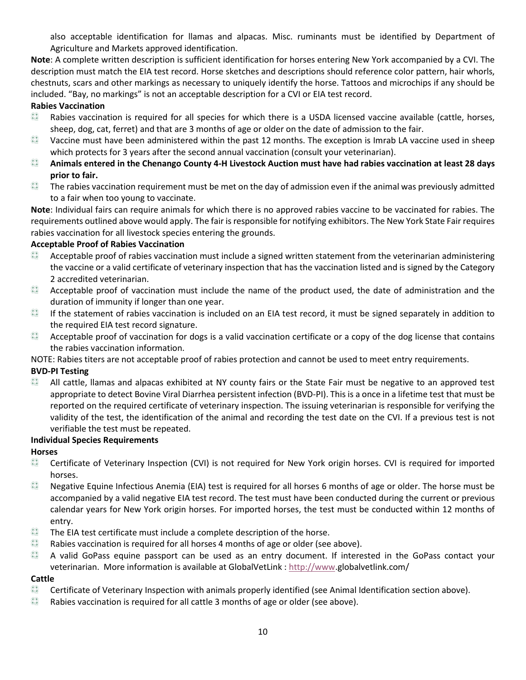also acceptable identification for llamas and alpacas. Misc. ruminants must be identified by Department of Agriculture and Markets approved identification.

**Note**: A complete written description is sufficient identification for horses entering New York accompanied by a CVI. The description must match the EIA test record. Horse sketches and descriptions should reference color pattern, hair whorls, chestnuts, scars and other markings as necessary to uniquely identify the horse. Tattoos and microchips if any should be included. "Bay, no markings" is not an acceptable description for a CVI or EIA test record.

#### **Rabies Vaccination**

- $rac{4}{3}$ Rabies vaccination is required for all species for which there is a USDA licensed vaccine available (cattle, horses, sheep, dog, cat, ferret) and that are 3 months of age or older on the date of admission to the fair.
- $rac{4}{3}$ Vaccine must have been administered within the past 12 months. The exception is Imrab LA vaccine used in sheep which protects for 3 years after the second annual vaccination (consult your veterinarian).
- $rac{4}{3}$ **Animals entered in the Chenango County 4-H Livestock Auction must have had rabies vaccination at least 28 days prior to fair.**
- $rac{4}{3}$ The rabies vaccination requirement must be met on the day of admission even if the animal was previously admitted to a fair when too young to vaccinate.

**Note**: Individual fairs can require animals for which there is no approved rabies vaccine to be vaccinated for rabies. The requirements outlined above would apply. The fair is responsible for notifying exhibitors. The New York State Fair requires rabies vaccination for all livestock species entering the grounds.

#### **Acceptable Proof of Rabies Vaccination**

- Acceptable proof of rabies vaccination must include a signed written statement from the veterinarian administering  $rac{8}{3}$ the vaccine or a valid certificate of veterinary inspection that has the vaccination listed and is signed by the Category 2 accredited veterinarian.
- $rac{4}{3}$ Acceptable proof of vaccination must include the name of the product used, the date of administration and the duration of immunity if longer than one year.
- $rac{4}{3}$ If the statement of rabies vaccination is included on an EIA test record, it must be signed separately in addition to the required EIA test record signature.
- $rac{4}{3}$ Acceptable proof of vaccination for dogs is a valid vaccination certificate or a copy of the dog license that contains the rabies vaccination information.

NOTE: Rabies titers are not acceptable proof of rabies protection and cannot be used to meet entry requirements.

#### **BVD-PI Testing**

All cattle, llamas and alpacas exhibited at NY county fairs or the State Fair must be negative to an approved test appropriate to detect Bovine Viral Diarrhea persistent infection (BVD-PI). This is a once in a lifetime test that must be reported on the required certificate of veterinary inspection. The issuing veterinarian is responsible for verifying the validity of the test, the identification of the animal and recording the test date on the CVI. If a previous test is not verifiable the test must be repeated.

#### **Individual Species Requirements**

#### **Horses**

- $rac{4}{3}$ Certificate of Veterinary Inspection (CVI) is not required for New York origin horses. CVI is required for imported horses.
- $rac{4}{3}$ Negative Equine Infectious Anemia (EIA) test is required for all horses 6 months of age or older. The horse must be accompanied by a valid negative EIA test record. The test must have been conducted during the current or previous calendar years for New York origin horses. For imported horses, the test must be conducted within 12 months of entry.
- $rac{4}{3}$ The EIA test certificate must include a complete description of the horse.
- $\frac{1}{2}$ Rabies vaccination is required for all horses 4 months of age or older (see above).
- $rac{4}{3}$ A valid GoPass equine passport can be used as an entry document. If interested in the GoPass contact your veterinarian. More information is available at GlobalVetLink : [http://www.](http://www/)globalvetlink.com/

#### **Cattle**

- $rac{1}{2}$ Certificate of Veterinary Inspection with animals properly identified (see Animal Identification section above).
- $rac{4}{3}$ Rabies vaccination is required for all cattle 3 months of age or older (see above).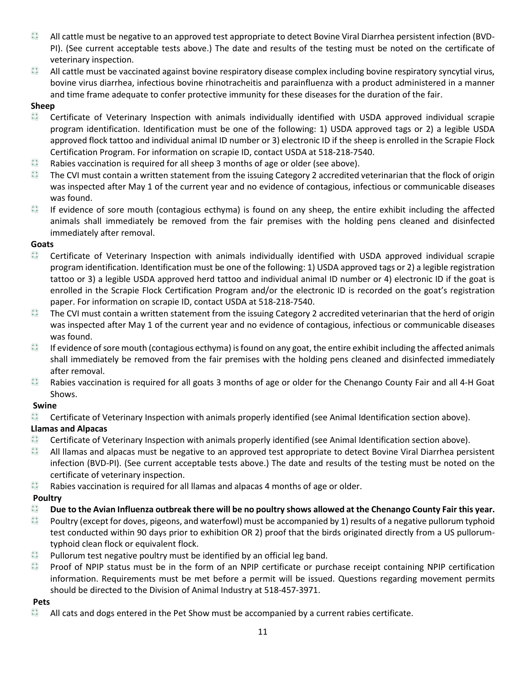- $rac{4}{3}$ All cattle must be negative to an approved test appropriate to detect Bovine Viral Diarrhea persistent infection (BVD-PI). (See current acceptable tests above.) The date and results of the testing must be noted on the certificate of veterinary inspection.
- $rac{4}{3}$ All cattle must be vaccinated against bovine respiratory disease complex including bovine respiratory syncytial virus, bovine virus diarrhea, infectious bovine rhinotracheitis and parainfluenza with a product administered in a manner and time frame adequate to confer protective immunity for these diseases for the duration of the fair.

#### **Sheep**

- $rac{1}{2}$ Certificate of Veterinary Inspection with animals individually identified with USDA approved individual scrapie program identification. Identification must be one of the following: 1) USDA approved tags or 2) a legible USDA approved flock tattoo and individual animal ID number or 3) electronic ID if the sheep is enrolled in the Scrapie Flock Certification Program. For information on scrapie ID, contact USDA at 518-218-7540.
- انوا بها<br>تو انو Rabies vaccination is required for all sheep 3 months of age or older (see above).
- دي دي.<br>دي The CVI must contain a written statement from the issuing Category 2 accredited veterinarian that the flock of origin was inspected after May 1 of the current year and no evidence of contagious, infectious or communicable diseases was found.
- $rac{4}{3}$ If evidence of sore mouth (contagious ecthyma) is found on any sheep, the entire exhibit including the affected animals shall immediately be removed from the fair premises with the holding pens cleaned and disinfected immediately after removal.

#### **Goats**

- $rac{4}{3}$ Certificate of Veterinary Inspection with animals individually identified with USDA approved individual scrapie program identification. Identification must be one of the following: 1) USDA approved tags or 2) a legible registration tattoo or 3) a legible USDA approved herd tattoo and individual animal ID number or 4) electronic ID if the goat is enrolled in the Scrapie Flock Certification Program and/or the electronic ID is recorded on the goat's registration paper. For information on scrapie ID, contact USDA at 518-218-7540.
- $rac{4}{3}$ The CVI must contain a written statement from the issuing Category 2 accredited veterinarian that the herd of origin was inspected after May 1 of the current year and no evidence of contagious, infectious or communicable diseases was found.
- $rac{8}{3}$ If evidence of sore mouth (contagious ecthyma) is found on any goat, the entire exhibit including the affected animals shall immediately be removed from the fair premises with the holding pens cleaned and disinfected immediately after removal.
- $rac{8}{3}$ Rabies vaccination is required for all goats 3 months of age or older for the Chenango County Fair and all 4-H Goat Shows.

#### **Swine**

 $rac{4}{3}$ Certificate of Veterinary Inspection with animals properly identified (see Animal Identification section above).

#### **Llamas and Alpacas**

- $rac{4}{3}$ Certificate of Veterinary Inspection with animals properly identified (see Animal Identification section above).
- $rac{4}{3}$ All llamas and alpacas must be negative to an approved test appropriate to detect Bovine Viral Diarrhea persistent infection (BVD-PI). (See current acceptable tests above.) The date and results of the testing must be noted on the certificate of veterinary inspection.
- $rac{4}{3}$ Rabies vaccination is required for all llamas and alpacas 4 months of age or older.

#### **Poultry**

- دي دي.<br>دي **Due to the Avian Influenza outbreak there will be no poultry shows allowed at the Chenango County Fair this year.**
- دي دي.<br>دي Poultry (except for doves, pigeons, and waterfowl) must be accompanied by 1) results of a negative pullorum typhoid test conducted within 90 days prior to exhibition OR 2) proof that the birds originated directly from a US pullorumtyphoid clean flock or equivalent flock.
- $rac{4}{3}$ Pullorum test negative poultry must be identified by an official leg band.
- $rac{4}{3}$ Proof of NPIP status must be in the form of an NPIP certificate or purchase receipt containing NPIP certification information. Requirements must be met before a permit will be issued. Questions regarding movement permits should be directed to the Division of Animal Industry at 518-457-3971.

#### **Pets**

 $rac{4}{3}$ All cats and dogs entered in the Pet Show must be accompanied by a current rabies certificate.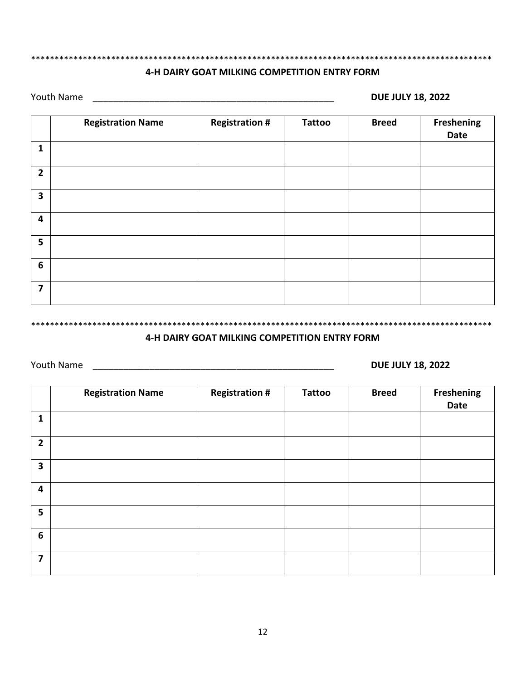## \*\*\*\*\*\*\*\*\*\*\*\*\*\*\*\*\*\*\*\*\*\*\*\*\*\*\*\*\*\*\*\*\*\*\*\*\*\*\*\*\*\*\*\*\*\*\*\*\*\*\*\*\*\*\*\*\*\*\*\*\*\*\*\*\*\*\*\*\*\*\*\*\*\*\*\*\*\*\*\*\*\*\*\*\*\*\*\*\*\*\*\*\*\*\*\*\*\*

#### **4-H DAIRY GOAT MILKING COMPETITION ENTRY FORM**

Youth Name \_\_\_\_\_\_\_\_\_\_\_\_\_\_\_\_\_\_\_\_\_\_\_\_\_\_\_\_\_\_\_\_\_\_\_\_\_\_\_\_\_\_\_\_\_\_\_ **DUE JULY 18, 2022**

|                         | <b>Registration Name</b> | <b>Registration #</b> | <b>Tattoo</b> | <b>Breed</b> | <b>Freshening</b><br>Date |
|-------------------------|--------------------------|-----------------------|---------------|--------------|---------------------------|
| $\mathbf{1}$            |                          |                       |               |              |                           |
| $\overline{2}$          |                          |                       |               |              |                           |
| $\mathbf{3}$            |                          |                       |               |              |                           |
| 4                       |                          |                       |               |              |                           |
| 5 <sup>5</sup>          |                          |                       |               |              |                           |
| 6                       |                          |                       |               |              |                           |
| $\overline{\mathbf{z}}$ |                          |                       |               |              |                           |

\*\*\*\*\*\*\*\*\*\*\*\*\*\*\*\*\*\*\*\*\*\*\*\*\*\*\*\*\*\*\*\*\*\*\*\*\*\*\*\*\*\*\*\*\*\*\*\*\*\*\*\*\*\*\*\*\*\*\*\*\*\*\*\*\*\*\*\*\*\*\*\*\*\*\*\*\*\*\*\*\*\*\*\*\*\*\*\*\*\*\*\*\*\*\*\*\*\*

#### **4-H DAIRY GOAT MILKING COMPETITION ENTRY FORM**

Youth Name \_\_\_\_\_\_\_\_\_\_\_\_\_\_\_\_\_\_\_\_\_\_\_\_\_\_\_\_\_\_\_\_\_\_\_\_\_\_\_\_\_\_\_\_\_\_\_ **DUE JULY 18, 2022**

|                         | <b>Registration Name</b> | <b>Registration #</b> | <b>Tattoo</b> | <b>Breed</b> | Freshening<br>Date |
|-------------------------|--------------------------|-----------------------|---------------|--------------|--------------------|
| $\mathbf{1}$            |                          |                       |               |              |                    |
| $\overline{2}$          |                          |                       |               |              |                    |
| $\overline{\mathbf{3}}$ |                          |                       |               |              |                    |
| 4                       |                          |                       |               |              |                    |
| 5                       |                          |                       |               |              |                    |
| 6                       |                          |                       |               |              |                    |
| $\overline{7}$          |                          |                       |               |              |                    |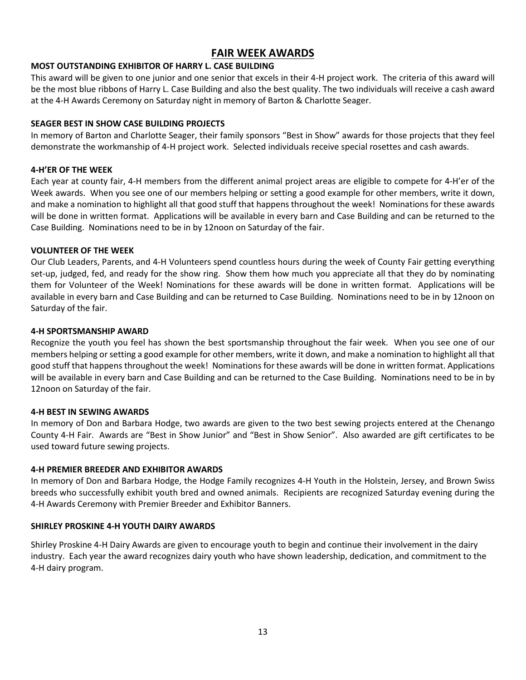#### **FAIR WEEK AWARDS**

#### **MOST OUTSTANDING EXHIBITOR OF HARRY L. CASE BUILDING**

This award will be given to one junior and one senior that excels in their 4-H project work. The criteria of this award will be the most blue ribbons of Harry L. Case Building and also the best quality. The two individuals will receive a cash award at the 4-H Awards Ceremony on Saturday night in memory of Barton & Charlotte Seager.

#### **SEAGER BEST IN SHOW CASE BUILDING PROJECTS**

In memory of Barton and Charlotte Seager, their family sponsors "Best in Show" awards for those projects that they feel demonstrate the workmanship of 4-H project work. Selected individuals receive special rosettes and cash awards.

#### **4-H'ER OF THE WEEK**

Each year at county fair, 4-H members from the different animal project areas are eligible to compete for 4-H'er of the Week awards. When you see one of our members helping or setting a good example for other members, write it down, and make a nomination to highlight all that good stuff that happens throughout the week! Nominations for these awards will be done in written format. Applications will be available in every barn and Case Building and can be returned to the Case Building. Nominations need to be in by 12noon on Saturday of the fair.

#### **VOLUNTEER OF THE WEEK**

Our Club Leaders, Parents, and 4-H Volunteers spend countless hours during the week of County Fair getting everything set-up, judged, fed, and ready for the show ring. Show them how much you appreciate all that they do by nominating them for Volunteer of the Week! Nominations for these awards will be done in written format. Applications will be available in every barn and Case Building and can be returned to Case Building. Nominations need to be in by 12noon on Saturday of the fair.

#### **4-H SPORTSMANSHIP AWARD**

Recognize the youth you feel has shown the best sportsmanship throughout the fair week. When you see one of our members helping or setting a good example for other members, write it down, and make a nomination to highlight all that good stuff that happens throughout the week! Nominations for these awards will be done in written format. Applications will be available in every barn and Case Building and can be returned to the Case Building. Nominations need to be in by 12noon on Saturday of the fair.

#### **4-H BEST IN SEWING AWARDS**

In memory of Don and Barbara Hodge, two awards are given to the two best sewing projects entered at the Chenango County 4-H Fair. Awards are "Best in Show Junior" and "Best in Show Senior". Also awarded are gift certificates to be used toward future sewing projects.

#### **4-H PREMIER BREEDER AND EXHIBITOR AWARDS**

In memory of Don and Barbara Hodge, the Hodge Family recognizes 4-H Youth in the Holstein, Jersey, and Brown Swiss breeds who successfully exhibit youth bred and owned animals. Recipients are recognized Saturday evening during the 4-H Awards Ceremony with Premier Breeder and Exhibitor Banners.

#### **SHIRLEY PROSKINE 4-H YOUTH DAIRY AWARDS**

Shirley Proskine 4-H Dairy Awards are given to encourage youth to begin and continue their involvement in the dairy industry. Each year the award recognizes dairy youth who have shown leadership, dedication, and commitment to the 4-H dairy program.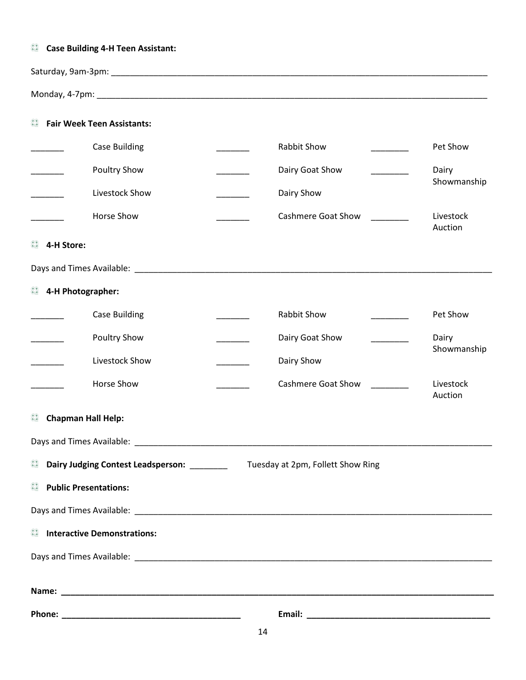## *Case Building 4-H Teen Assistant:* Saturday, 9am-3pm: \_\_\_\_\_\_\_\_\_\_\_\_\_\_\_\_\_\_\_\_\_\_\_\_\_\_\_\_\_\_\_\_\_\_\_\_\_\_\_\_\_\_\_\_\_\_\_\_\_\_\_\_\_\_\_\_\_\_\_\_\_\_\_\_\_\_\_\_\_\_\_\_\_\_\_\_\_\_\_\_ Monday, 4-7pm:  $\blacksquare$ *<b>Fair Week Teen Assistants:* \_\_\_\_\_\_\_ Case Building \_\_\_\_\_\_\_ Rabbit Show \_\_\_\_\_\_\_\_ Pet Show \_\_\_\_\_\_\_ Poultry Show \_\_\_\_\_\_\_\_\_ Dairy Goat Show \_\_\_\_\_\_\_\_\_ Dairy Showmanship \_\_\_\_\_\_\_ Livestock Show \_\_\_\_\_\_\_ Dairy Show \_\_\_\_\_\_\_ Horse Show \_\_\_\_\_\_\_ Cashmere Goat Show \_\_\_\_\_\_\_\_ Livestock Auction **4-H Store:** Days and Times Available: \_\_\_\_\_\_\_\_\_\_\_\_\_\_\_\_\_\_\_\_\_\_\_\_\_\_\_\_\_\_\_\_\_\_\_\_\_\_\_\_\_\_\_\_\_\_\_\_\_\_\_\_\_\_\_\_\_\_\_\_\_\_\_\_\_\_\_\_\_\_\_\_\_\_\_\_ **4-H Photographer:** \_\_\_\_\_\_\_ Case Building \_\_\_\_\_\_\_ Rabbit Show \_\_\_\_\_\_\_\_ Pet Show \_\_\_\_\_\_\_\_ Poultry Show \_\_\_\_\_\_\_\_ Dairy Goat Show \_\_\_\_\_\_\_\_\_ Dairy Showmanship Livestock Show **Example 20** Dairy Show \_\_\_\_\_\_\_ Horse Show \_\_\_\_\_\_\_ Cashmere Goat Show \_\_\_\_\_\_\_\_ Livestock Auction *Chapman Hall Help:* Days and Times Available: \_\_\_\_\_\_\_\_\_\_\_\_\_\_\_\_\_\_\_\_\_\_\_\_\_\_\_\_\_\_\_\_\_\_\_\_\_\_\_\_\_\_\_\_\_\_\_\_\_\_\_\_\_\_\_\_\_\_\_\_\_\_\_\_\_\_\_\_\_\_\_\_\_\_\_\_  $rac{4}{3}$ **Dairy Judging Contest Leadsperson:** \_\_\_\_\_\_\_\_ Tuesday at 2pm, Follett Show Ring  $rac{4}{3}$ **Public Presentations:** Days and Times Available: \_\_\_\_\_\_\_\_\_\_\_\_\_\_\_\_\_\_\_\_\_\_\_\_\_\_\_\_\_\_\_\_\_\_\_\_\_\_\_\_\_\_\_\_\_\_\_\_\_\_\_\_\_\_\_\_\_\_\_\_\_\_\_\_\_\_\_\_\_\_\_\_\_\_\_\_ *Interactive Demonstrations:* Days and Times Available: \_\_\_\_\_\_\_\_\_\_\_\_\_\_\_\_\_\_\_\_\_\_\_\_\_\_\_\_\_\_\_\_\_\_\_\_\_\_\_\_\_\_\_\_\_\_\_\_\_\_\_\_\_\_\_\_\_\_\_\_\_\_\_\_\_\_\_\_\_\_\_\_\_\_\_\_ **Name: \_\_\_\_\_\_\_\_\_\_\_\_\_\_\_\_\_\_\_\_\_\_\_\_\_\_\_\_\_\_\_\_\_\_\_\_\_\_\_\_\_\_\_\_\_\_\_\_\_\_\_\_\_\_\_\_\_\_\_\_\_\_\_\_\_\_\_\_\_\_\_\_\_\_\_\_\_\_\_\_\_\_\_\_\_\_\_\_\_\_\_\_ Phone: \_\_\_\_\_\_\_\_\_\_\_\_\_\_\_\_\_\_\_\_\_\_\_\_\_\_\_\_\_\_\_\_\_\_\_\_\_\_ Email: \_\_\_\_\_\_\_\_\_\_\_\_\_\_\_\_\_\_\_\_\_\_\_\_\_\_\_\_\_\_\_\_\_\_\_\_\_\_\_**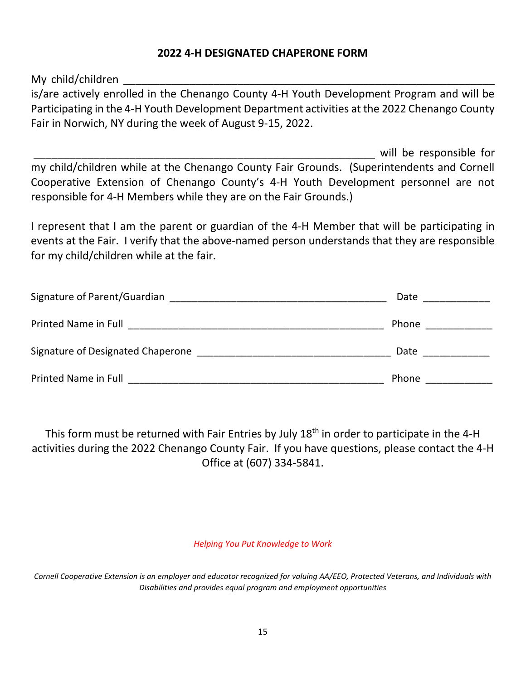#### **2022 4-H DESIGNATED CHAPERONE FORM**

My child/children

is/are actively enrolled in the Chenango County 4-H Youth Development Program and will be Participating in the 4-H Youth Development Department activities at the 2022 Chenango County Fair in Norwich, NY during the week of August 9-15, 2022.

will be responsible for my child/children while at the Chenango County Fair Grounds. (Superintendents and Cornell Cooperative Extension of Chenango County's 4-H Youth Development personnel are not responsible for 4-H Members while they are on the Fair Grounds.)

I represent that I am the parent or guardian of the 4-H Member that will be participating in events at the Fair. I verify that the above-named person understands that they are responsible for my child/children while at the fair.

| Signature of Parent/Guardian      | Date  |
|-----------------------------------|-------|
| Printed Name in Full              | Phone |
| Signature of Designated Chaperone | Date  |
| Printed Name in Full              | Phone |

This form must be returned with Fair Entries by July 18<sup>th</sup> in order to participate in the 4-H activities during the 2022 Chenango County Fair. If you have questions, please contact the 4-H Office at (607) 334-5841.

*Helping You Put Knowledge to Work*

*Cornell Cooperative Extension is an employer and educator recognized for valuing AA/EEO, Protected Veterans, and Individuals with Disabilities and provides equal program and employment opportunities*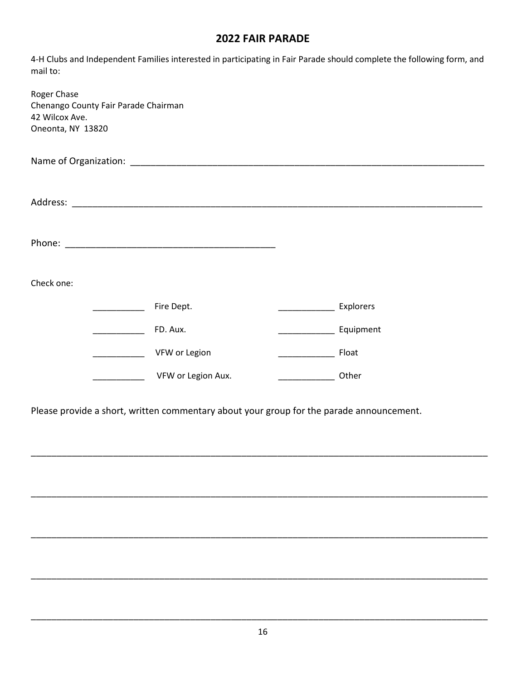#### **2022 FAIR PARADE**

4-H Clubs and Independent Families interested in participating in Fair Parade should complete the following form, and mail to:

| Roger Chase<br>Chenango County Fair Parade Chairman<br>42 Wilcox Ave.<br>Oneonta, NY 13820 |  |                    |  |           |  |  |  |
|--------------------------------------------------------------------------------------------|--|--------------------|--|-----------|--|--|--|
|                                                                                            |  |                    |  |           |  |  |  |
|                                                                                            |  |                    |  |           |  |  |  |
|                                                                                            |  |                    |  |           |  |  |  |
| Check one:                                                                                 |  |                    |  |           |  |  |  |
|                                                                                            |  | Fire Dept.         |  | Explorers |  |  |  |
|                                                                                            |  | FD. Aux.           |  | Equipment |  |  |  |
|                                                                                            |  | VFW or Legion      |  | Float     |  |  |  |
|                                                                                            |  | VFW or Legion Aux. |  | Other     |  |  |  |

Please provide a short, written commentary about your group for the parade announcement.

\_\_\_\_\_\_\_\_\_\_\_\_\_\_\_\_\_\_\_\_\_\_\_\_\_\_\_\_\_\_\_\_\_\_\_\_\_\_\_\_\_\_\_\_\_\_\_\_\_\_\_\_\_\_\_\_\_\_\_\_\_\_\_\_\_\_\_\_\_\_\_\_\_\_\_\_\_\_\_\_\_\_\_\_\_\_\_\_\_

\_\_\_\_\_\_\_\_\_\_\_\_\_\_\_\_\_\_\_\_\_\_\_\_\_\_\_\_\_\_\_\_\_\_\_\_\_\_\_\_\_\_\_\_\_\_\_\_\_\_\_\_\_\_\_\_\_\_\_\_\_\_\_\_\_\_\_\_\_\_\_\_\_\_\_\_\_\_\_\_\_\_\_\_\_\_\_\_\_

\_\_\_\_\_\_\_\_\_\_\_\_\_\_\_\_\_\_\_\_\_\_\_\_\_\_\_\_\_\_\_\_\_\_\_\_\_\_\_\_\_\_\_\_\_\_\_\_\_\_\_\_\_\_\_\_\_\_\_\_\_\_\_\_\_\_\_\_\_\_\_\_\_\_\_\_\_\_\_\_\_\_\_\_\_\_\_\_\_

\_\_\_\_\_\_\_\_\_\_\_\_\_\_\_\_\_\_\_\_\_\_\_\_\_\_\_\_\_\_\_\_\_\_\_\_\_\_\_\_\_\_\_\_\_\_\_\_\_\_\_\_\_\_\_\_\_\_\_\_\_\_\_\_\_\_\_\_\_\_\_\_\_\_\_\_\_\_\_\_\_\_\_\_\_\_\_\_\_

\_\_\_\_\_\_\_\_\_\_\_\_\_\_\_\_\_\_\_\_\_\_\_\_\_\_\_\_\_\_\_\_\_\_\_\_\_\_\_\_\_\_\_\_\_\_\_\_\_\_\_\_\_\_\_\_\_\_\_\_\_\_\_\_\_\_\_\_\_\_\_\_\_\_\_\_\_\_\_\_\_\_\_\_\_\_\_\_\_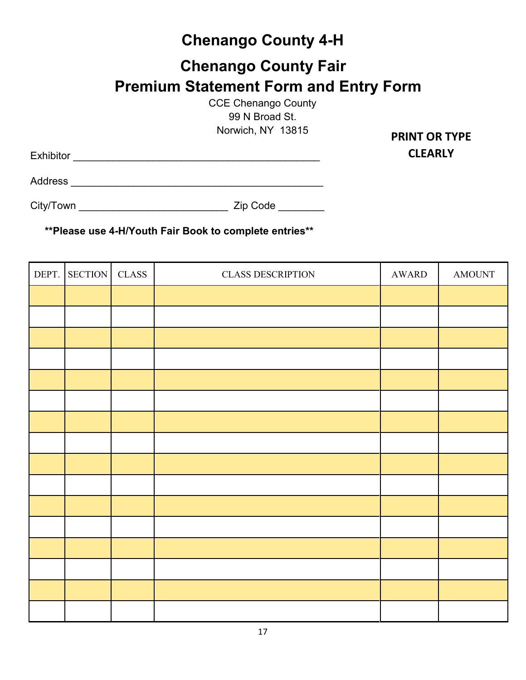## **Chenango County 4-H**

## **Chenango County Fair Premium Statement Form and Entry Form**

CCE Chenango County 99 N Broad St. Norwich, NY 13815

Exhibitor \_\_\_\_\_\_\_\_\_\_\_\_\_\_\_\_\_\_\_\_\_\_\_\_\_\_\_\_\_\_\_\_\_\_\_\_\_\_\_\_\_\_\_

**PRINT OR TYPE CLEARLY**

Address \_\_\_\_\_\_\_\_\_\_\_\_\_\_\_\_\_\_\_\_\_\_\_\_\_\_\_\_\_\_\_\_\_\_\_\_\_\_\_\_\_\_\_\_

City/Town \_\_\_\_\_\_\_\_\_\_\_\_\_\_\_\_\_\_\_\_\_\_\_\_\_\_ Zip Code \_\_\_\_\_\_\_\_

| DEPT. SECTION | $\rm CLASS$ | <b>CLASS DESCRIPTION</b> | AWARD | <b>AMOUNT</b> |
|---------------|-------------|--------------------------|-------|---------------|
|               |             |                          |       |               |
|               |             |                          |       |               |
|               |             |                          |       |               |
|               |             |                          |       |               |
|               |             |                          |       |               |
|               |             |                          |       |               |
|               |             |                          |       |               |
|               |             |                          |       |               |
|               |             |                          |       |               |
|               |             |                          |       |               |
|               |             |                          |       |               |
|               |             |                          |       |               |
|               |             |                          |       |               |
|               |             |                          |       |               |
|               |             |                          |       |               |
|               |             |                          |       |               |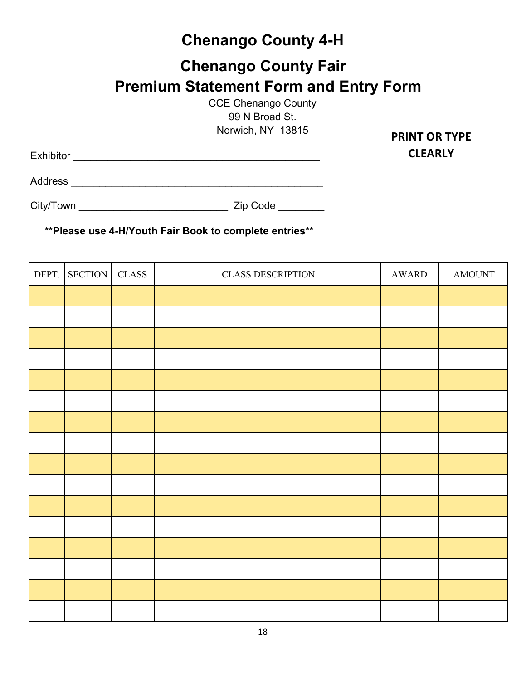## **Chenango County 4-H**

## **Chenango County Fair Premium Statement Form and Entry Form**

CCE Chenango County 99 N Broad St. Norwich, NY 13815

Exhibitor \_\_\_\_\_\_\_\_\_\_\_\_\_\_\_\_\_\_\_\_\_\_\_\_\_\_\_\_\_\_\_\_\_\_\_\_\_\_\_\_\_\_\_

**PRINT OR TYPE CLEARLY**

Address \_\_\_\_\_\_\_\_\_\_\_\_\_\_\_\_\_\_\_\_\_\_\_\_\_\_\_\_\_\_\_\_\_\_\_\_\_\_\_\_\_\_\_\_

City/Town \_\_\_\_\_\_\_\_\_\_\_\_\_\_\_\_\_\_\_\_\_\_\_\_\_\_ Zip Code \_\_\_\_\_\_\_\_

| DEPT. | <b>SECTION</b> | $\rm CLASS$ | <b>CLASS DESCRIPTION</b> | AWARD | <b>AMOUNT</b> |
|-------|----------------|-------------|--------------------------|-------|---------------|
|       |                |             |                          |       |               |
|       |                |             |                          |       |               |
|       |                |             |                          |       |               |
|       |                |             |                          |       |               |
|       |                |             |                          |       |               |
|       |                |             |                          |       |               |
|       |                |             |                          |       |               |
|       |                |             |                          |       |               |
|       |                |             |                          |       |               |
|       |                |             |                          |       |               |
|       |                |             |                          |       |               |
|       |                |             |                          |       |               |
|       |                |             |                          |       |               |
|       |                |             |                          |       |               |
|       |                |             |                          |       |               |
|       |                |             |                          |       |               |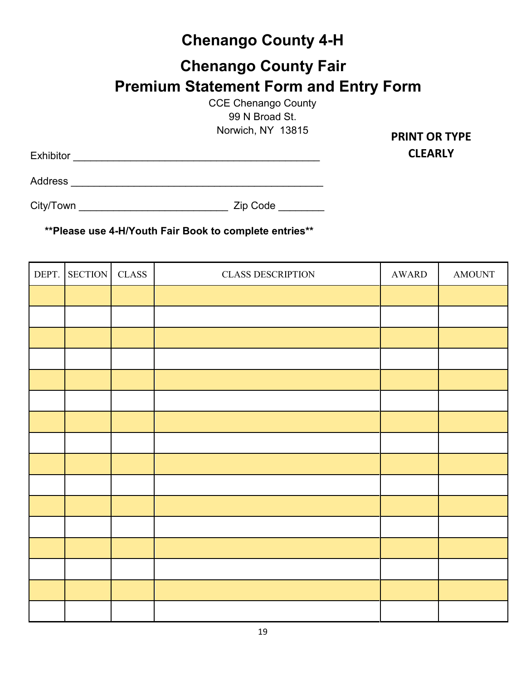## **Chenango County 4-H**

## **Chenango County Fair Premium Statement Form and Entry Form**

CCE Chenango County 99 N Broad St. Norwich, NY 13815

Exhibitor \_\_\_\_\_\_\_\_\_\_\_\_\_\_\_\_\_\_\_\_\_\_\_\_\_\_\_\_\_\_\_\_\_\_\_\_\_\_\_\_\_\_\_

**PRINT OR TYPE CLEARLY**

Address \_\_\_\_\_\_\_\_\_\_\_\_\_\_\_\_\_\_\_\_\_\_\_\_\_\_\_\_\_\_\_\_\_\_\_\_\_\_\_\_\_\_\_\_

City/Town \_\_\_\_\_\_\_\_\_\_\_\_\_\_\_\_\_\_\_\_\_\_\_\_\_\_ Zip Code \_\_\_\_\_\_\_\_

| DEPT. | <b>SECTION</b> | $\rm CLASS$ | <b>CLASS DESCRIPTION</b> | AWARD | <b>AMOUNT</b> |
|-------|----------------|-------------|--------------------------|-------|---------------|
|       |                |             |                          |       |               |
|       |                |             |                          |       |               |
|       |                |             |                          |       |               |
|       |                |             |                          |       |               |
|       |                |             |                          |       |               |
|       |                |             |                          |       |               |
|       |                |             |                          |       |               |
|       |                |             |                          |       |               |
|       |                |             |                          |       |               |
|       |                |             |                          |       |               |
|       |                |             |                          |       |               |
|       |                |             |                          |       |               |
|       |                |             |                          |       |               |
|       |                |             |                          |       |               |
|       |                |             |                          |       |               |
|       |                |             |                          |       |               |